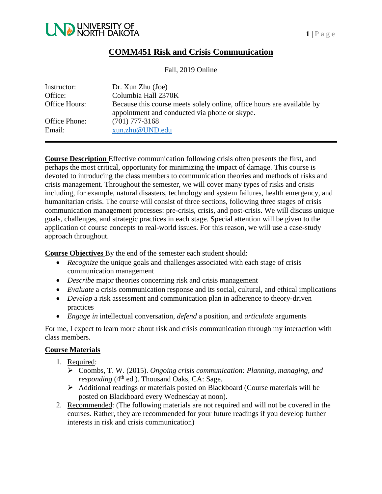

### **COMM451 Risk and Crisis Communication**

Fall, 2019 Online

| Instructor:             | Dr. Xun Zhu (Joe)                                                                                                       |
|-------------------------|-------------------------------------------------------------------------------------------------------------------------|
| Office:                 | Columbia Hall 2370K                                                                                                     |
| Office Hours:           | Because this course meets solely online, office hours are available by<br>appointment and conducted via phone or skype. |
| Office Phone:<br>Email: | $(701)$ 777-3168<br>xun.zhu@UND.edu                                                                                     |

**Course Description** Effective communication following crisis often presents the first, and perhaps the most critical, opportunity for minimizing the impact of damage. This course is devoted to introducing the class members to communication theories and methods of risks and crisis management. Throughout the semester, we will cover many types of risks and crisis including, for example, natural disasters, technology and system failures, health emergency, and humanitarian crisis. The course will consist of three sections, following three stages of crisis communication management processes: pre-crisis, crisis, and post-crisis. We will discuss unique goals, challenges, and strategic practices in each stage. Special attention will be given to the application of course concepts to real-world issues. For this reason, we will use a case-study approach throughout.

**Course Objectives** By the end of the semester each student should:

- *Recognize* the unique goals and challenges associated with each stage of crisis communication management
- *Describe* major theories concerning risk and crisis management
- *Evaluate* a crisis communication response and its social, cultural, and ethical implications
- *Develop* a risk assessment and communication plan in adherence to theory-driven practices
- *Engage in* intellectual conversation, *defend* a position, and *articulate* arguments

For me, I expect to learn more about risk and crisis communication through my interaction with class members.

#### **Course Materials**

- 1. Required:
	- Coombs, T. W. (2015). *Ongoing crisis communication: Planning, managing, and*  responding (4<sup>th</sup> ed.). Thousand Oaks, CA: Sage.
	- Additional readings or materials posted on Blackboard (Course materials will be posted on Blackboard every Wednesday at noon).
- 2. Recommended: (The following materials are not required and will not be covered in the courses. Rather, they are recommended for your future readings if you develop further interests in risk and crisis communication)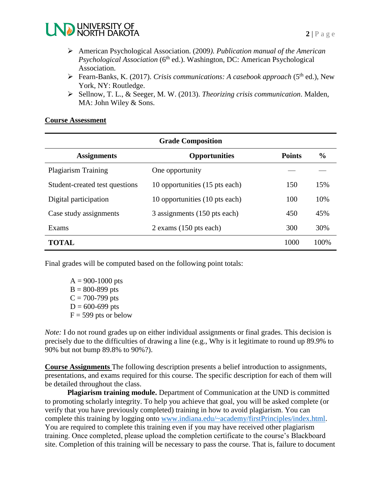

- American Psychological Association. (2009*). Publication manual of the American Psychological Association* (6<sup>th</sup> ed.). Washington, DC: American Psychological Association.
- ▶ Fearn-Banks, K. (2017). *Crisis communications: A casebook approach* (5<sup>th</sup> ed.), New York, NY: Routledge.
- Sellnow, T. L., & Seeger, M. W. (2013). *Theorizing crisis communication*. Malden, MA: John Wiley & Sons.

#### **Course Assessment**

| <b>Grade Composition</b>       |                                |               |               |  |  |  |
|--------------------------------|--------------------------------|---------------|---------------|--|--|--|
| <b>Assignments</b>             | <b>Opportunities</b>           | <b>Points</b> | $\frac{6}{6}$ |  |  |  |
| <b>Plagiarism Training</b>     | One opportunity                |               |               |  |  |  |
| Student-created test questions | 10 opportunities (15 pts each) | 150           | 15%           |  |  |  |
| Digital participation          | 10 opportunities (10 pts each) | 100           | 10%           |  |  |  |
| Case study assignments         | 3 assignments (150 pts each)   | 450           | 45%           |  |  |  |
| Exams                          | $2$ exams (150 pts each)       | 300           | 30%           |  |  |  |
| TOTAL.                         |                                | 1000          | 100%          |  |  |  |

Final grades will be computed based on the following point totals:

 $A = 900 - 1000$  pts  $B = 800 - 899$  pts  $C = 700 - 799$  pts  $D = 600 - 699$  pts  $F = 599$  pts or below

*Note:* I do not round grades up on either individual assignments or final grades. This decision is precisely due to the difficulties of drawing a line (e.g., Why is it legitimate to round up 89.9% to 90% but not bump 89.8% to 90%?).

**Course Assignments** The following description presents a belief introduction to assignments, presentations, and exams required for this course. The specific description for each of them will be detailed throughout the class.

**Plagiarism training module.** Department of Communication at the UND is committed to promoting scholarly integrity. To help you achieve that goal, you will be asked complete (or verify that you have previously completed) training in how to avoid plagiarism. You can complete this training by logging onto [www.indiana.edu/~academy/firstPrinciples/index.html.](http://www.indiana.edu/~academy/firstPrinciples/index.html) You are required to complete this training even if you may have received other plagiarism training. Once completed, please upload the completion certificate to the course's Blackboard site. Completion of this training will be necessary to pass the course. That is, failure to document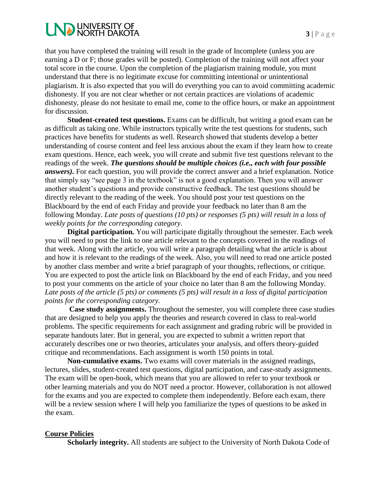# **LND UNIVERSITY OF**

that you have completed the training will result in the grade of Incomplete (unless you are earning a D or F; those grades will be posted). Completion of the training will not affect your total score in the course. Upon the completion of the plagiarism training module, you must understand that there is no legitimate excuse for committing intentional or unintentional plagiarism. It is also expected that you will do everything you can to avoid committing academic dishonesty. If you are not clear whether or not certain practices are violations of academic dishonesty, please do not hesitate to email me, come to the office hours, or make an appointment for discussion.

**Student-created test questions.** Exams can be difficult, but writing a good exam can be as difficult as taking one. While instructors typically write the test questions for students, such practices have benefits for students as well. Research showed that students develop a better understanding of course content and feel less anxious about the exam if they learn how to create exam questions. Hence, each week, you will create and submit five test questions relevant to the readings of the week. *The questions should be multiple choices (i.e., each with four possible answers).* For each question, you will provide the correct answer and a brief explanation. Notice that simply say "see page 3 in the textbook" is not a good explanation. Then you will answer another student's questions and provide constructive feedback. The test questions should be directly relevant to the reading of the week. You should post your test questions on the Blackboard by the end of each Friday and provide your feedback no later than 8 am the following Monday. *Late posts of questions (10 pts) or responses (5 pts) will result in a loss of weekly points for the corresponding category.*

**Digital participation.** You will participate digitally throughout the semester. Each week you will need to post the link to one article relevant to the concepts covered in the readings of that week. Along with the article, you will write a paragraph detailing what the article is about and how it is relevant to the readings of the week. Also, you will need to read one article posted by another class member and write a brief paragraph of your thoughts, reflections, or critique. You are expected to post the article link on Blackboard by the end of each Friday, and you need to post your comments on the article of your choice no later than 8 am the following Monday. *Late posts of the article (5 pts) or comments (5 pts) will result in a loss of digital participation points for the corresponding category.*

**Case study assignments.** Throughout the semester, you will complete three case studies that are designed to help you apply the theories and research covered in class to real-world problems. The specific requirements for each assignment and grading rubric will be provided in separate handouts later. But in general, you are expected to submit a written report that accurately describes one or two theories, articulates your analysis, and offers theory-guided critique and recommendations. Each assignment is worth 150 points in total.

**Non-cumulative exams.** Two exams will cover materials in the assigned readings, lectures, slides, student-created test questions, digital participation, and case-study assignments. The exam will be open-book, which means that you are allowed to refer to your textbook or other learning materials and you do NOT need a proctor. However, collaboration is not allowed for the exams and you are expected to complete them independently. Before each exam, there will be a review session where I will help you familiarize the types of questions to be asked in the exam.

#### **Course Policies**

**Scholarly integrity.** All students are subject to the University of North Dakota Code of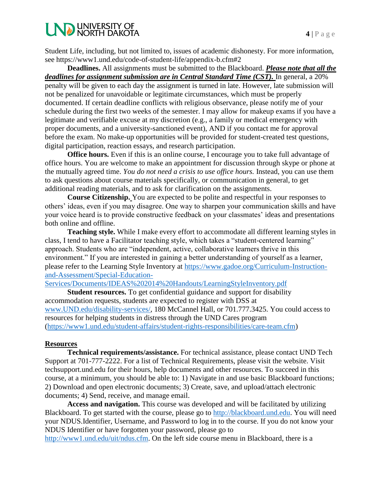Student Life, including, but not limited to, issues of academic dishonesty. For more information, see https://www1.und.edu/code-of-student-life/appendix-b.cfm#2

**Deadlines.** All assignments must be submitted to the Blackboard. *Please note that all the deadlines for assignment submission are in Central Standard Time (CST).* In general, a 20% penalty will be given to each day the assignment is turned in late. However, late submission will not be penalized for unavoidable or legitimate circumstances, which must be properly documented. If certain deadline conflicts with religious observance, please notify me of your schedule during the first two weeks of the semester. I may allow for makeup exams if you have a legitimate and verifiable excuse at my discretion (e.g., a family or medical emergency with proper documents, and a university-sanctioned event), AND if you contact me for approval before the exam. No make-up opportunities will be provided for student-created test questions, digital participation, reaction essays, and research participation.

**Office hours.** Even if this is an online course, I encourage you to take full advantage of office hours. You are welcome to make an appointment for discussion through skype or phone at the mutually agreed time. *You do not need a crisis to use office hours.* Instead, you can use them to ask questions about course materials specifically, or communication in general, to get additional reading materials, and to ask for clarification on the assignments.

**Course Citizenship.** You are expected to be polite and respectful in your responses to others' ideas, even if you may disagree. One way to sharpen your communication skills and have your voice heard is to provide constructive feedback on your classmates' ideas and presentations both online and offline.

**Teaching style.** While I make every effort to accommodate all different learning styles in class, I tend to have a Facilitator teaching style, which takes a "student-centered learning" approach. Students who are "independent, active, collaborative learners thrive in this environment." If you are interested in gaining a better understanding of yourself as a learner, please refer to the Learning Style Inventory at [https://www.gadoe.org/Curriculum-Instruction](https://www.gadoe.org/Curriculum-Instruction-and-Assessment/Special-Education-Services/Documents/IDEAS%202014%20Handouts/LearningStyleInventory.pdf)[and-Assessment/Special-Education-](https://www.gadoe.org/Curriculum-Instruction-and-Assessment/Special-Education-Services/Documents/IDEAS%202014%20Handouts/LearningStyleInventory.pdf)

[Services/Documents/IDEAS%202014%20Handouts/LearningStyleInventory.pdf](https://www.gadoe.org/Curriculum-Instruction-and-Assessment/Special-Education-Services/Documents/IDEAS%202014%20Handouts/LearningStyleInventory.pdf)

**Student resources.** To get confidential guidance and support for disability accommodation requests, students are expected to register with DSS at [www.UND.edu/disability-services/,](http://www.und.edu/disability-services/) 180 McCannel Hall, or 701.777.3425. You could access to resources for helping students in distress through the UND Cares program [\(https://www1.und.edu/student-affairs/student-rights-responsibilities/care-team.cfm\)](https://www1.und.edu/student-affairs/student-rights-responsibilities/care-team.cfm)

#### **Resources**

**Technical requirements/assistance.** For technical assistance, please contact UND Tech Support at 701-777-2222. For a list of Technical Requirements, please visit the website. Visit techsupport.und.edu for their hours, help documents and other resources. To succeed in this course, at a minimum, you should be able to: 1) Navigate in and use basic Blackboard functions; 2) Download and open electronic documents; 3) Create, save, and upload/attach electronic documents; 4) Send, receive, and manage email.

**Access and navigation.** This course was developed and will be facilitated by utilizing Blackboard. To get started with the course, please go to [http://blackboard.und.edu.](http://blackboard.und.edu/) You will need your NDUS.Identifier, Username, and Password to log in to the course. If you do not know your NDUS Identifier or have forgotten your password, please go to

[http://www1.und.edu/uit/ndus.cfm.](http://www1.und.edu/uit/ndus.cfm) On the left side course menu in Blackboard, there is a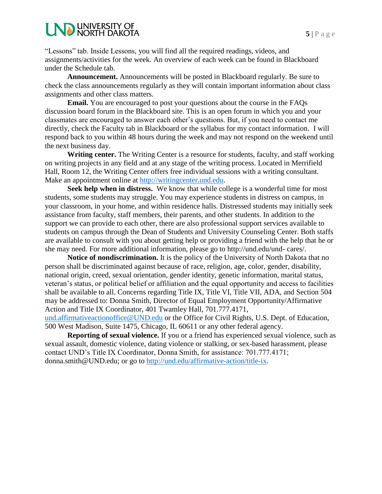# **LND UNIVERSITY OF**

"Lessons" tab. Inside Lessons, you will find all the required readings, videos, and assignments/activities for the week. An overview of each week can be found in Blackboard under the Schedule tab.

**Announcement.** Announcements will be posted in Blackboard regularly. Be sure to check the class announcements regularly as they will contain important information about class assignments and other class matters.

**Email.** You are encouraged to post your questions about the course in the FAQs discussion board forum in the Blackboard site. This is an open forum in which you and your classmates are encouraged to answer each other's questions. But, if you need to contact me directly, check the Faculty tab in Blackboard or the syllabus for my contact information. I will respond back to you within 48 hours during the week and may not respond on the weekend until the next business day.

**Writing center.** The Writing Center is a resource for students, faculty, and staff working on writing projects in any field and at any stage of the writing process. Located in Merrifield Hall, Room 12, the Writing Center offers free individual sessions with a writing consultant. Make an appointment online at [http://writingcenter.und.edu.](http://writingcenter.und.edu/)

**Seek help when in distress.** We know that while college is a wonderful time for most students, some students may struggle. You may experience students in distress on campus, in your classroom, in your home, and within residence halls. Distressed students may initially seek assistance from faculty, staff members, their parents, and other students. In addition to the support we can provide to each other, there are also professional support services available to students on campus through the Dean of Students and University Counseling Center. Both staffs are available to consult with you about getting help or providing a friend with the help that he or she may need. For more additional information, please go to http://und.edu/und- cares/.

**Notice of nondiscrimination.** It is the policy of the University of North Dakota that no person shall be discriminated against because of race, religion, age, color, gender, disability, national origin, creed, sexual orientation, gender identity, genetic information, marital status, veteran's status, or political belief or affiliation and the equal opportunity and access to facilities shall be available to all. Concerns regarding Title IX, Title VI, Title VII, ADA, and Section 504 may be addressed to: Donna Smith, Director of Equal Employment Opportunity/Affirmative Action and Title IX Coordinator, 401 Twamley Hall, 701.777.4171,

[und.affirmativeactionoffice@UND.edu](mailto:und.affirmativeactionoffice@UND.edu) or the Office for Civil Rights, U.S. Dept. of Education, 500 West Madison, Suite 1475, Chicago, IL 60611 or any other federal agency.

**Reporting of sexual violence.** If you or a friend has experienced sexual violence, such as sexual assault, domestic violence, dating violence or stalking, or sex-based harassment, please contact UND's Title IX Coordinator, Donna Smith, for assistance: 701.777.4171; donna.smith@UND.edu; or go to [http://und.edu/affirmative-action/title-ix.](http://und.edu/affirmative-action/title-ix)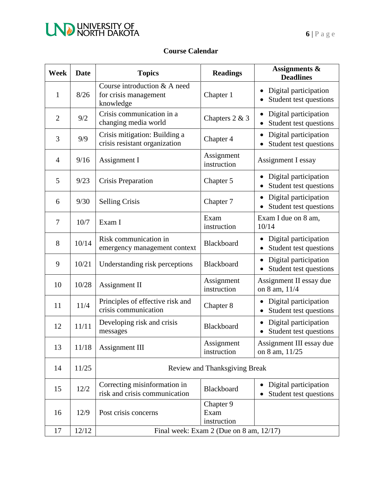

### **Course Calendar**

| <b>Week</b>    | <b>Date</b> | <b>Topics</b>                                                      | <b>Readings</b>                  | <b>Assignments &amp;</b><br><b>Deadlines</b>    |
|----------------|-------------|--------------------------------------------------------------------|----------------------------------|-------------------------------------------------|
| 1              | 8/26        | Course introduction & A need<br>for crisis management<br>knowledge | Chapter 1                        | Digital participation<br>Student test questions |
| $\overline{2}$ | 9/2         | Crisis communication in a<br>changing media world                  | Chapters 2 & 3                   | Digital participation<br>Student test questions |
| 3              | 9/9         | Crisis mitigation: Building a<br>crisis resistant organization     | Chapter 4                        | Digital participation<br>Student test questions |
| $\overline{4}$ | 9/16        | Assignment I                                                       | Assignment<br>instruction        | Assignment I essay                              |
| 5              | 9/23        | Crisis Preparation                                                 | Chapter 5                        | Digital participation<br>Student test questions |
| 6              | 9/30        | <b>Selling Crisis</b>                                              | Chapter 7                        | Digital participation<br>Student test questions |
| $\overline{7}$ | 10/7        | Exam I                                                             | Exam<br>instruction              | Exam I due on 8 am,<br>10/14                    |
| 8              | 10/14       | Risk communication in<br>emergency management context              | Blackboard                       | Digital participation<br>Student test questions |
| 9              | 10/21       | Understanding risk perceptions                                     | Blackboard                       | Digital participation<br>Student test questions |
| 10             | 10/28       | Assignment II                                                      | Assignment<br>instruction        | Assignment II essay due<br>on 8 am, 11/4        |
| 11             | 11/4        | Principles of effective risk and<br>crisis communication           | Chapter 8                        | Digital participation<br>Student test questions |
| 12             | 11/11       | Developing risk and crisis<br>messages                             | Blackboard                       | Digital participation<br>Student test questions |
| 13             | 11/18       | <b>Assignment III</b>                                              | Assignment<br>instruction        | Assignment III essay due<br>on 8 am, 11/25      |
| 14             | 11/25       | Review and Thanksgiving Break                                      |                                  |                                                 |
| 15             | 12/2        | Correcting misinformation in<br>risk and crisis communication      | Blackboard                       | Digital participation<br>Student test questions |
| 16             | 12/9        | Post crisis concerns                                               | Chapter 9<br>Exam<br>instruction |                                                 |
| 17             | 12/12       | Final week: Exam $2$ (Due on 8 am, $12/17$ )                       |                                  |                                                 |